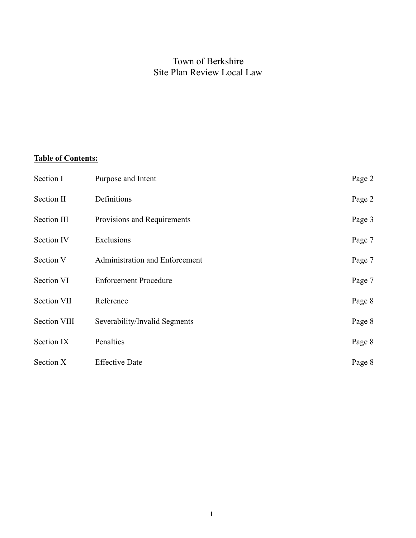# Town of Berkshire Site Plan Review Local Law

# **Table of Contents:**

| Section I           | Purpose and Intent             | Page 2 |
|---------------------|--------------------------------|--------|
| Section II          | Definitions                    | Page 2 |
| Section III         | Provisions and Requirements    | Page 3 |
| Section IV          | Exclusions                     | Page 7 |
| Section V           | Administration and Enforcement | Page 7 |
| Section VI          | <b>Enforcement Procedure</b>   | Page 7 |
| Section VII         | Reference                      | Page 8 |
| <b>Section VIII</b> | Severability/Invalid Segments  | Page 8 |
| Section IX          | Penalties                      | Page 8 |
| Section X           | <b>Effective Date</b>          | Page 8 |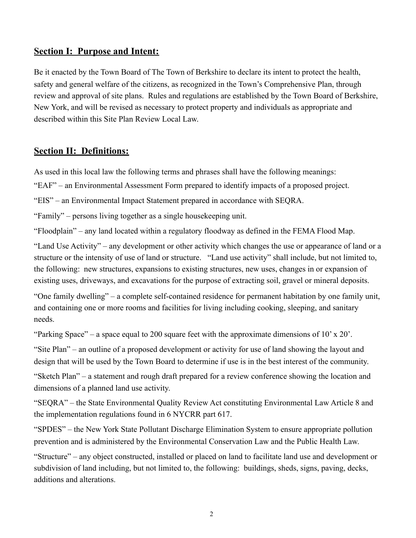#### **Section I: Purpose and Intent:**

Be it enacted by the Town Board of The Town of Berkshire to declare its intent to protect the health, safety and general welfare of the citizens, as recognized in the Town's Comprehensive Plan, through review and approval of site plans. Rules and regulations are established by the Town Board of Berkshire, New York, and will be revised as necessary to protect property and individuals as appropriate and described within this Site Plan Review Local Law.

#### **Section II: Definitions:**

As used in this local law the following terms and phrases shall have the following meanings:

"EAF" – an Environmental Assessment Form prepared to identify impacts of a proposed project.

"EIS" – an Environmental Impact Statement prepared in accordance with SEQRA.

"Family" – persons living together as a single housekeeping unit.

"Floodplain" – any land located within a regulatory floodway as defined in the FEMA Flood Map.

"Land Use Activity" – any development or other activity which changes the use or appearance of land or a structure or the intensity of use of land or structure. "Land use activity" shall include, but not limited to, the following: new structures, expansions to existing structures, new uses, changes in or expansion of existing uses, driveways, and excavations for the purpose of extracting soil, gravel or mineral deposits.

"One family dwelling" – a complete self-contained residence for permanent habitation by one family unit, and containing one or more rooms and facilities for living including cooking, sleeping, and sanitary needs.

"Parking Space" – a space equal to 200 square feet with the approximate dimensions of 10' x 20'.

"Site Plan" – an outline of a proposed development or activity for use of land showing the layout and design that will be used by the Town Board to determine if use is in the best interest of the community.

"Sketch Plan" – a statement and rough draft prepared for a review conference showing the location and dimensions of a planned land use activity.

"SEQRA" – the State Environmental Quality Review Act constituting Environmental Law Article 8 and the implementation regulations found in 6 NYCRR part 617.

"SPDES" – the New York State Pollutant Discharge Elimination System to ensure appropriate pollution prevention and is administered by the Environmental Conservation Law and the Public Health Law.

"Structure" – any object constructed, installed or placed on land to facilitate land use and development or subdivision of land including, but not limited to, the following: buildings, sheds, signs, paving, decks, additions and alterations.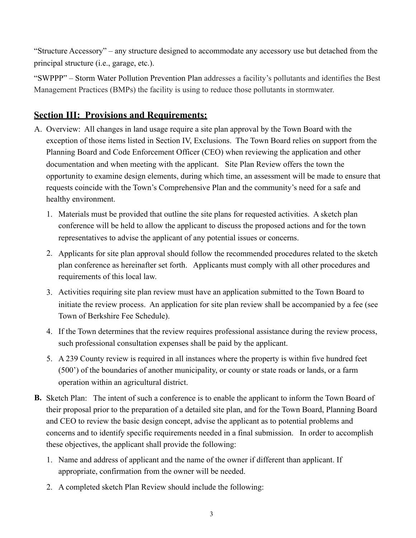"Structure Accessory" – any structure designed to accommodate any accessory use but detached from the principal structure (i.e., garage, etc.).

"SWPPP" – Storm Water Pollution Prevention Plan addresses a facility's pollutants and identifies the Best Management Practices (BMPs) the facility is using to reduce those pollutants in stormwater.

# **Section III: Provisions and Requirements:**

- A. Overview: All changes in land usage require a site plan approval by the Town Board with the exception of those items listed in Section IV, Exclusions. The Town Board relies on support from the Planning Board and Code Enforcement Officer (CEO) when reviewing the application and other documentation and when meeting with the applicant. Site Plan Review offers the town the opportunity to examine design elements, during which time, an assessment will be made to ensure that requests coincide with the Town's Comprehensive Plan and the community's need for a safe and healthy environment.
	- 1. Materials must be provided that outline the site plans for requested activities. A sketch plan conference will be held to allow the applicant to discuss the proposed actions and for the town representatives to advise the applicant of any potential issues or concerns.
	- 2. Applicants for site plan approval should follow the recommended procedures related to the sketch plan conference as hereinafter set forth. Applicants must comply with all other procedures and requirements of this local law.
	- 3. Activities requiring site plan review must have an application submitted to the Town Board to initiate the review process. An application for site plan review shall be accompanied by a fee (see Town of Berkshire Fee Schedule).
	- 4. If the Town determines that the review requires professional assistance during the review process, such professional consultation expenses shall be paid by the applicant.
	- 5. A 239 County review is required in all instances where the property is within five hundred feet (500') of the boundaries of another municipality, or county or state roads or lands, or a farm operation within an agricultural district.
- **B.** Sketch Plan: The intent of such a conference is to enable the applicant to inform the Town Board of their proposal prior to the preparation of a detailed site plan, and for the Town Board, Planning Board and CEO to review the basic design concept, advise the applicant as to potential problems and concerns and to identify specific requirements needed in a final submission. In order to accomplish these objectives, the applicant shall provide the following:
	- 1. Name and address of applicant and the name of the owner if different than applicant. If appropriate, confirmation from the owner will be needed.
	- 2. A completed sketch Plan Review should include the following: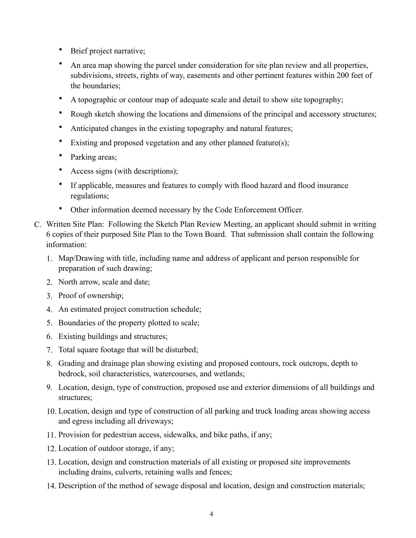- Brief project narrative;
- An area map showing the parcel under consideration for site plan review and all properties, subdivisions, streets, rights of way, easements and other pertinent features within 200 feet of the boundaries;
- A topographic or contour map of adequate scale and detail to show site topography;
- Rough sketch showing the locations and dimensions of the principal and accessory structures;
- Anticipated changes in the existing topography and natural features;
- Existing and proposed vegetation and any other planned feature(s);
- Parking areas;
- Access signs (with descriptions);
- If applicable, measures and features to comply with flood hazard and flood insurance regulations;
- Other information deemed necessary by the Code Enforcement Officer.
- C. Written Site Plan: Following the Sketch Plan Review Meeting, an applicant should submit in writing 6 copies of their purposed Site Plan to the Town Board. That submission shall contain the following information:
	- 1. Map/Drawing with title, including name and address of applicant and person responsible for preparation of such drawing;
	- 2. North arrow, scale and date;
	- 3. Proof of ownership;
	- 4. An estimated project construction schedule;
	- 5. Boundaries of the property plotted to scale;
	- 6. Existing buildings and structures;
	- 7. Total square footage that will be disturbed;
	- 8. Grading and drainage plan showing existing and proposed contours, rock outcrops, depth to bedrock, soil characteristics, watercourses, and wetlands;
	- 9. Location, design, type of construction, proposed use and exterior dimensions of all buildings and structures;
	- 10. Location, design and type of construction of all parking and truck loading areas showing access and egress including all driveways;
	- 11. Provision for pedestrian access, sidewalks, and bike paths, if any;
	- 12. Location of outdoor storage, if any;
	- 13. Location, design and construction materials of all existing or proposed site improvements including drains, culverts, retaining walls and fences;
	- 14. Description of the method of sewage disposal and location, design and construction materials;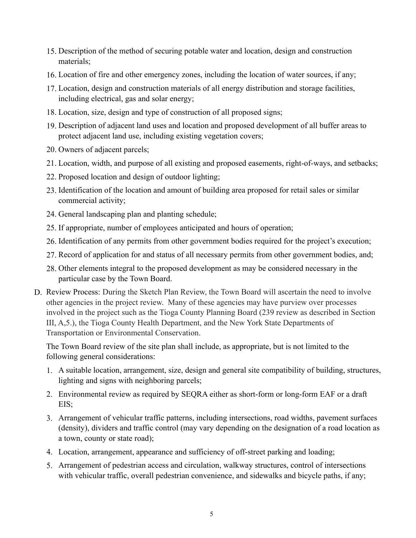- 15. Description of the method of securing potable water and location, design and construction materials;
- 16. Location of fire and other emergency zones, including the location of water sources, if any;
- 17. Location, design and construction materials of all energy distribution and storage facilities, including electrical, gas and solar energy;
- 18. Location, size, design and type of construction of all proposed signs;
- 19. Description of adjacent land uses and location and proposed development of all buffer areas to protect adjacent land use, including existing vegetation covers;
- 20. Owners of adjacent parcels;
- 21. Location, width, and purpose of all existing and proposed easements, right-of-ways, and setbacks;
- 22. Proposed location and design of outdoor lighting;
- 23. Identification of the location and amount of building area proposed for retail sales or similar commercial activity;
- 24. General landscaping plan and planting schedule;
- 25. If appropriate, number of employees anticipated and hours of operation;
- 26. Identification of any permits from other government bodies required for the project's execution;
- 27. Record of application for and status of all necessary permits from other government bodies, and;
- 28. Other elements integral to the proposed development as may be considered necessary in the particular case by the Town Board.
- D. Review Process: During the Sketch Plan Review, the Town Board will ascertain the need to involve other agencies in the project review. Many of these agencies may have purview over processes involved in the project such as the Tioga County Planning Board (239 review as described in Section III, A,5.), the Tioga County Health Department, and the New York State Departments of Transportation or Environmental Conservation.

The Town Board review of the site plan shall include, as appropriate, but is not limited to the following general considerations:

- 1. A suitable location, arrangement, size, design and general site compatibility of building, structures, lighting and signs with neighboring parcels;
- 2. Environmental review as required by SEQRA either as short-form or long-form EAF or a draft EIS;
- 3. Arrangement of vehicular traffic patterns, including intersections, road widths, pavement surfaces (density), dividers and traffic control (may vary depending on the designation of a road location as a town, county or state road);
- 4. Location, arrangement, appearance and sufficiency of off-street parking and loading;
- 5. Arrangement of pedestrian access and circulation, walkway structures, control of intersections with vehicular traffic, overall pedestrian convenience, and sidewalks and bicycle paths, if any;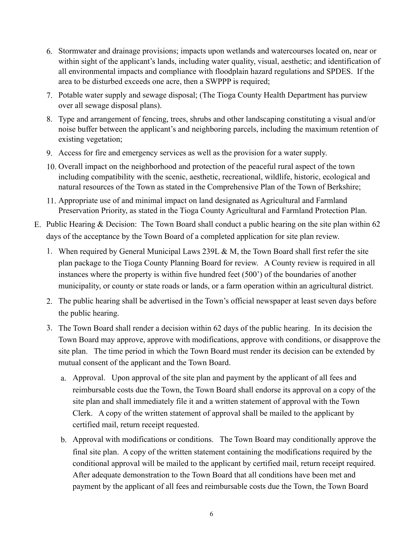- 6. Stormwater and drainage provisions; impacts upon wetlands and watercourses located on, near or within sight of the applicant's lands, including water quality, visual, aesthetic; and identification of all environmental impacts and compliance with floodplain hazard regulations and SPDES. If the area to be disturbed exceeds one acre, then a SWPPP is required;
- 7. Potable water supply and sewage disposal; (The Tioga County Health Department has purview over all sewage disposal plans).
- 8. Type and arrangement of fencing, trees, shrubs and other landscaping constituting a visual and/or noise buffer between the applicant's and neighboring parcels, including the maximum retention of existing vegetation;
- 9. Access for fire and emergency services as well as the provision for a water supply.
- 10. Overall impact on the neighborhood and protection of the peaceful rural aspect of the town including compatibility with the scenic, aesthetic, recreational, wildlife, historic, ecological and natural resources of the Town as stated in the Comprehensive Plan of the Town of Berkshire;
- 11. Appropriate use of and minimal impact on land designated as Agricultural and Farmland Preservation Priority, as stated in the Tioga County Agricultural and Farmland Protection Plan.
- E. Public Hearing & Decision: The Town Board shall conduct a public hearing on the site plan within 62 days of the acceptance by the Town Board of a completed application for site plan review.
	- 1. When required by General Municipal Laws 239L & M, the Town Board shall first refer the site plan package to the Tioga County Planning Board for review. A County review is required in all instances where the property is within five hundred feet (500') of the boundaries of another municipality, or county or state roads or lands, or a farm operation within an agricultural district.
	- 2. The public hearing shall be advertised in the Town's official newspaper at least seven days before the public hearing.
	- 3. The Town Board shall render a decision within 62 days of the public hearing. In its decision the Town Board may approve, approve with modifications, approve with conditions, or disapprove the site plan. The time period in which the Town Board must render its decision can be extended by mutual consent of the applicant and the Town Board.
		- a. Approval. Upon approval of the site plan and payment by the applicant of all fees and reimbursable costs due the Town, the Town Board shall endorse its approval on a copy of the site plan and shall immediately file it and a written statement of approval with the Town Clerk. A copy of the written statement of approval shall be mailed to the applicant by certified mail, return receipt requested.
		- b. Approval with modifications or conditions. The Town Board may conditionally approve the final site plan. A copy of the written statement containing the modifications required by the conditional approval will be mailed to the applicant by certified mail, return receipt required. After adequate demonstration to the Town Board that all conditions have been met and payment by the applicant of all fees and reimbursable costs due the Town, the Town Board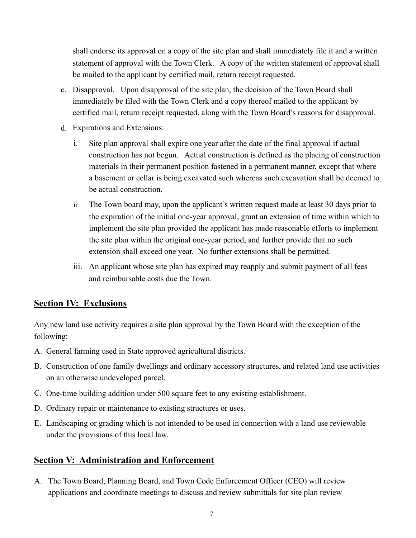shall endorse its approval on a copy of the site plan and shall immediately file it and a written statement of approval with the Town Clerk. A copy of the written statement of approval shall be mailed to the applicant by certified mail, return receipt requested.

- c. Disapproval. Upon disapproval of the site plan, the decision of the Town Board shall immediately be filed with the Town Clerk and a copy thereof mailed to the applicant by certified mail, return receipt requested, along with the Town Board's reasons for disapproval.
- d. Expirations and Extensions:
	- i. Site plan approval shall expire one year after the date of the final approval if actual construction has not begun. Actual construction is defined as the placing of construction materials in their permanent position fastened in a permanent manner, except that where a basement or cellar is being excavated such whereas such excavation shall be deemed to be actual construction.
	- ii. The Town board may, upon the applicant's written request made at least 30 days prior to the expiration of the initial one-year approval, grant an extension of time within which to implement the site plan provided the applicant has made reasonable efforts to implement the site plan within the original one-year period, and further provide that no such extension shall exceed one year. No further extensions shall be permitted.
	- iii. An applicant whose site plan has expired may reapply and submit payment of all fees and reimbursable costs due the Town.

#### **Section IV: Exclusions**

Any new land use activity requires a site plan approval by the Town Board with the exception of the following:

- A. General farming used in State approved agricultural districts.
- B. Construction of one family dwellings and ordinary accessory structures, and related land use activities on an otherwise undeveloped parcel.
- C. One-time building addition under 500 square feet to any existing establishment.
- D. Ordinary repair or maintenance to existing structures or uses.
- E. Landscaping or grading which is not intended to be used in connection with a land use reviewable under the provisions of this local law.

#### **Section V: Administration and Enforcement**

A. The Town Board, Planning Board, and Town Code Enforcement Officer (CEO) will review applications and coordinate meetings to discuss and review submittals for site plan review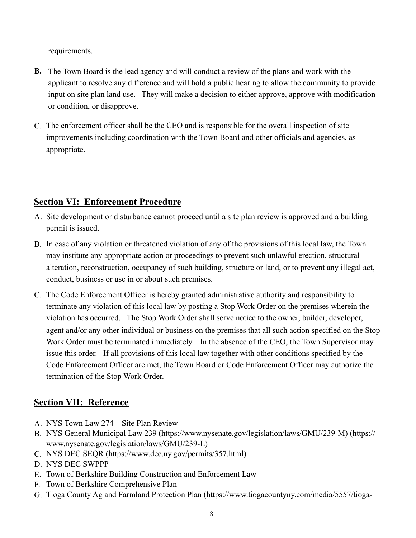requirements.

- **B.** The Town Board is the lead agency and will conduct a review of the plans and work with the applicant to resolve any difference and will hold a public hearing to allow the community to provide input on site plan land use. They will make a decision to either approve, approve with modification or condition, or disapprove.
- C. The enforcement officer shall be the CEO and is responsible for the overall inspection of site improvements including coordination with the Town Board and other officials and agencies, as appropriate.

## **Section VI: Enforcement Procedure**

- A. Site development or disturbance cannot proceed until a site plan review is approved and a building permit is issued.
- B. In case of any violation or threatened violation of any of the provisions of this local law, the Town may institute any appropriate action or proceedings to prevent such unlawful erection, structural alteration, reconstruction, occupancy of such building, structure or land, or to prevent any illegal act, conduct, business or use in or about such premises.
- C. The Code Enforcement Officer is hereby granted administrative authority and responsibility to terminate any violation of this local law by posting a Stop Work Order on the premises wherein the violation has occurred. The Stop Work Order shall serve notice to the owner, builder, developer, agent and/or any other individual or business on the premises that all such action specified on the Stop Work Order must be terminated immediately. In the absence of the CEO, the Town Supervisor may issue this order. If all provisions of this local law together with other conditions specified by the Code Enforcement Officer are met, the Town Board or Code Enforcement Officer may authorize the termination of the Stop Work Order.

# **Section VII: Reference**

- A. NYS Town Law 274 Site Plan Review
- B. NYS General Municipal Law 239 (https://www.nysenate.gov/legislation/laws/GMU/239-M) (https:// www.nysenate.gov/legislation/laws/GMU/239-L)
- C. NYS DEC SEQR (https://www.dec.ny.gov/permits/357.html)
- D. NYS DEC SWPPP
- E. Town of Berkshire Building Construction and Enforcement Law
- F. Town of Berkshire Comprehensive Plan
- G. Tioga County Ag and Farmland Protection Plan (https://www.tiogacountyny.com/media/5557/tioga-